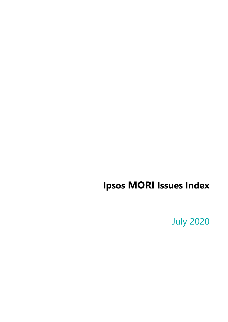## **Ipsos MORI Issues Index**

**July 2020**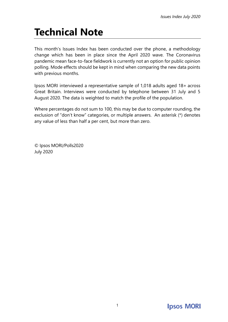# **Technical Note**

This month's Issues Index has been conducted over the phone, a methodology change which has been in place since the April 2020 wave. The Coronavirus pandemic mean face-to-face fieldwork is currently not an option for public opinion polling. Mode effects should be kept in mind when comparing the new data points with previous months.

Ipsos MORI interviewed a representative sample of 1,018 adults aged 18+ across Great Britain. Interviews were conducted by telephone between 31 July and 5 August 2020. The data is weighted to match the profile of the population.

Where percentages do not sum to 100, this may be due to computer rounding, the exclusion of "don't know" categories, or multiple answers. An asterisk (\*) denotes any value of less than half a per cent, but more than zero.

© Ipsos MORI/Polls2020 July 2020